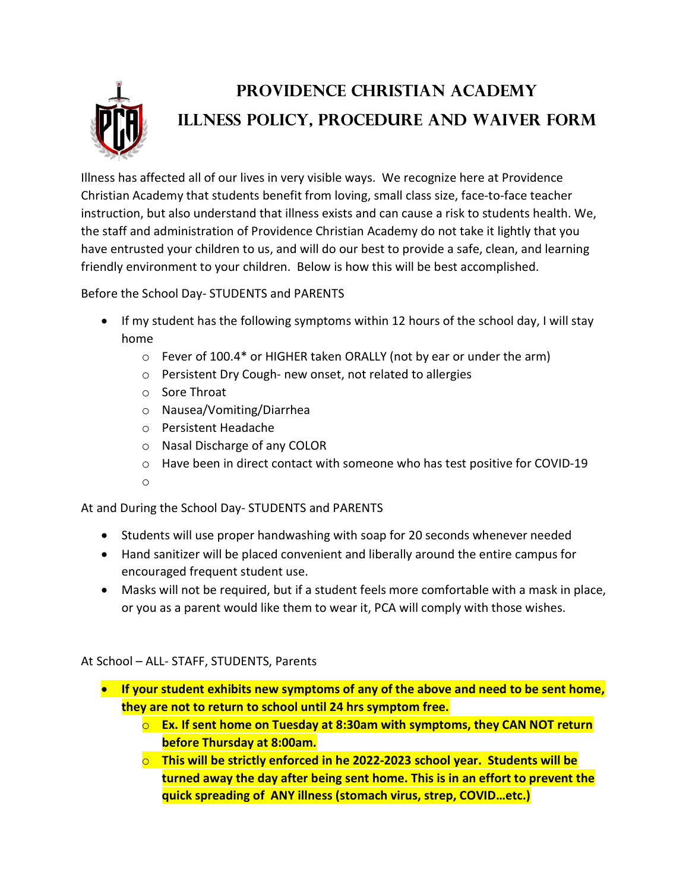

## providence Christian academy Illness Policy, Procedure and Waiver Form

Illness has affected all of our lives in very visible ways. We recognize here at Providence Christian Academy that students benefit from loving, small class size, face-to-face teacher instruction, but also understand that illness exists and can cause a risk to students health. We, the staff and administration of Providence Christian Academy do not take it lightly that you have entrusted your children to us, and will do our best to provide a safe, clean, and learning friendly environment to your children. Below is how this will be best accomplished.

Before the School Day- STUDENTS and PARENTS

- If my student has the following symptoms within 12 hours of the school day, I will stay home
	- o Fever of 100.4\* or HIGHER taken ORALLY (not by ear or under the arm)
	- o Persistent Dry Cough- new onset, not related to allergies
	- o Sore Throat
	- o Nausea/Vomiting/Diarrhea
	- o Persistent Headache
	- o Nasal Discharge of any COLOR
	- o Have been in direct contact with someone who has test positive for COVID-19
	- o

At and During the School Day- STUDENTS and PARENTS

- Students will use proper handwashing with soap for 20 seconds whenever needed
- Hand sanitizer will be placed convenient and liberally around the entire campus for encouraged frequent student use.
- Masks will not be required, but if a student feels more comfortable with a mask in place, or you as a parent would like them to wear it, PCA will comply with those wishes.

At School – ALL- STAFF, STUDENTS, Parents

- If your student exhibits new symptoms of any of the above and need to be sent home, they are not to return to school until 24 hrs symptom free.
	- $\circ$  Ex. If sent home on Tuesday at 8:30am with symptoms, they CAN NOT return before Thursday at 8:00am.
	- $\circ$  This will be strictly enforced in he 2022-2023 school year. Students will be turned away the day after being sent home. This is in an effort to prevent the quick spreading of ANY illness (stomach virus, strep, COVID…etc.)